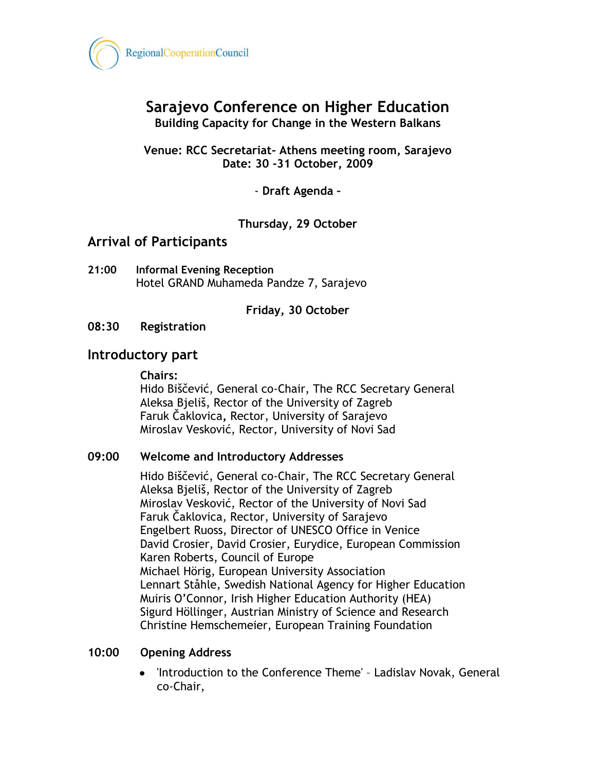

# **Sarajevo Conference on Higher Education Building Capacity for Change in the Western Balkans**

**Venue: RCC Secretariat- Athens meeting room, Sarajevo Date: 30 -31 October, 2009**

- **Draft Agenda –**

**Thursday, 29 October**

## **Arrival of Participants**

**21:00 Informal Evening Reception** Hotel GRAND Muhameda Pandze 7, Sarajevo

**Friday, 30 October**

**08:30 Registration**

## **Introductory part**

**Chairs:** 

Hido Biščević, General co-Chair, The RCC Secretary General Aleksa Bjeliš, Rector of the University of Zagreb [Faruk Čaklovica](mailto:kabinet.rektora@unsa.ba)**,** Rector, University of Sarajevo Miroslav Vesković, Rector, University of Novi Sad

#### **09:00 Welcome and Introductory Addresses**

Hido Biščević, General co-Chair, The RCC Secretary General Aleksa Bjeliš, Rector of the University of Zagreb Miroslav Vesković, Rector of the University of Novi Sad [Faruk Čaklovica](mailto:kabinet.rektora@unsa.ba), Rector, University of Sarajevo Engelbert Ruoss, Director of UNESCO Office in Venice David Crosier, David Crosier, Eurydice, European Commission Karen Roberts, Council of Europe Michael Hörig, European University Association Lennart Ståhle, Swedish National Agency for Higher Education Muiris O'Connor, Irish Higher Education Authority (HEA) Sigurd Höllinger, Austrian Ministry of Science and Research Christine Hemschemeier, European Training Foundation

#### **10:00 Opening Address**

'Introduction to the Conference Theme' – Ladislav Novak, General co-Chair,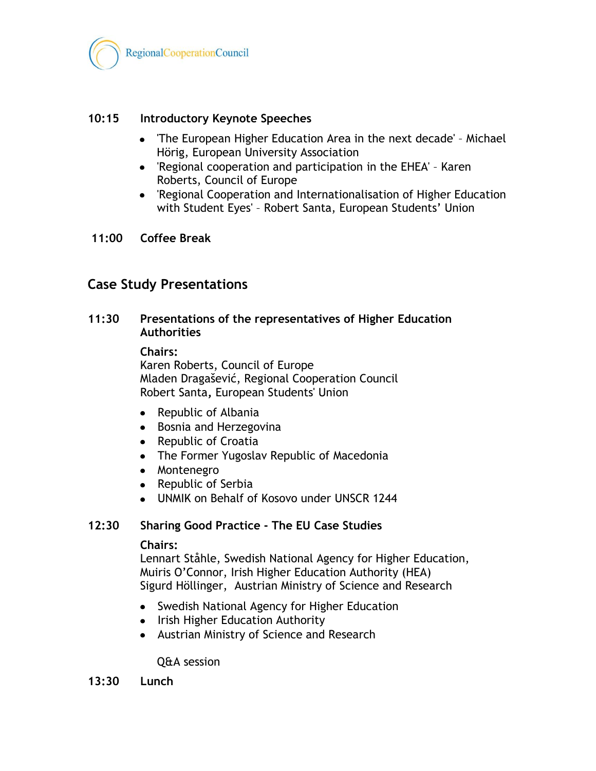

### **10:15 Introductory Keynote Speeches**

- $\bullet$ 'The European Higher Education Area in the next decade' – Michael Hörig, European University Association
- 'Regional cooperation and participation in the EHEA' Karen Roberts, Council of Europe
- 'Regional Cooperation and Internationalisation of Higher Education with Student Eyes' – Robert Santa, European Students' Union

#### **11:00 Coffee Break**

# **Case Study Presentations**

### **11:30 Presentations of the representatives of Higher Education Authorities**

**Chairs:** 

Karen Roberts, Council of Europe Mladen Dragašević, Regional Cooperation Council Robert Santa**,** European Students' Union

- Republic of Albania  $\bullet$
- Bosnia and Herzegovina
- Republic of Croatia
- The Former Yugoslav Republic of Macedonia
- Montenegro
- Republic of Serbia
- UNMIK on Behalf of Kosovo under UNSCR 1244

#### **12:30 Sharing Good Practice - The EU Case Studies**

#### **Chairs:**

Lennart Ståhle, Swedish National Agency for Higher Education, Muiris O'Connor, Irish Higher Education Authority (HEA) Sigurd Höllinger, Austrian Ministry of Science and Research

- Swedish National Agency for Higher Education
- Irish Higher Education Authority
- Austrian Ministry of Science and Research

Q&A session

**13:30 Lunch**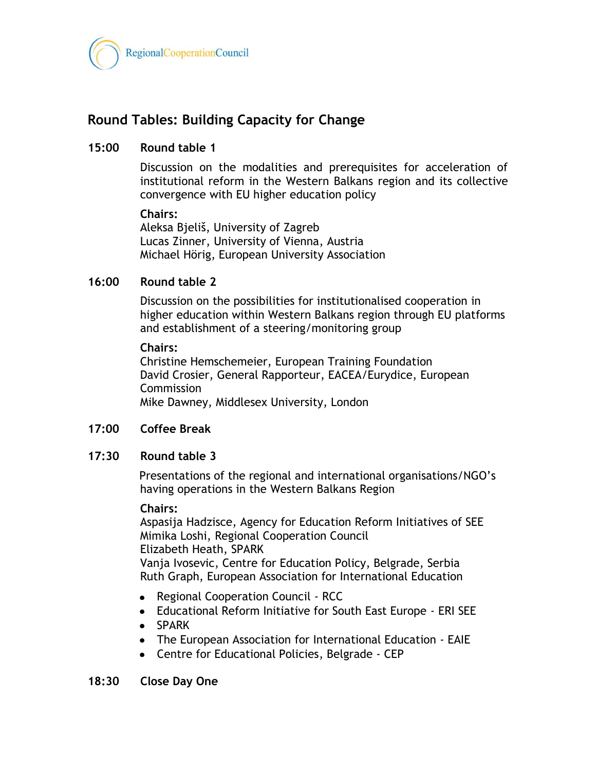

# **Round Tables: Building Capacity for Change**

#### **15:00 Round table 1**

Discussion on the modalities and prerequisites for acceleration of institutional reform in the Western Balkans region and its collective convergence with EU higher education policy

#### **Chairs:**

Aleksa Bjeliš, University of Zagreb Lucas Zinner, University of Vienna, Austria Michael Hörig, European University Association

### **16:00 Round table 2**

Discussion on the possibilities for institutionalised cooperation in higher education within Western Balkans region through EU platforms and establishment of a steering/monitoring group

#### **Chairs:**

Christine Hemschemeier, European Training Foundation David Crosier, General Rapporteur, EACEA/Eurydice, European **Commission** Mike Dawney, Middlesex University, London

#### **17:00 Coffee Break**

#### **17:30 Round table 3**

Presentations of the regional and international organisations/NGO's having operations in the Western Balkans Region

#### **Chairs:**

Aspasija Hadzisce, Agency for Education Reform Initiatives of SEE Mimika Loshi, Regional Cooperation Council Elizabeth Heath, SPARK

Vanja Ivosevic, Centre for Education Policy, Belgrade, Serbia Ruth Graph, European Association for International Education

- Regional Cooperation Council RCC
- Educational Reform Initiative for South East Europe ERI SEE
- SPARK
- The European Association for International Education EAIE
- Centre for Educational Policies, Belgrade CEP

**18:30 Close Day One**